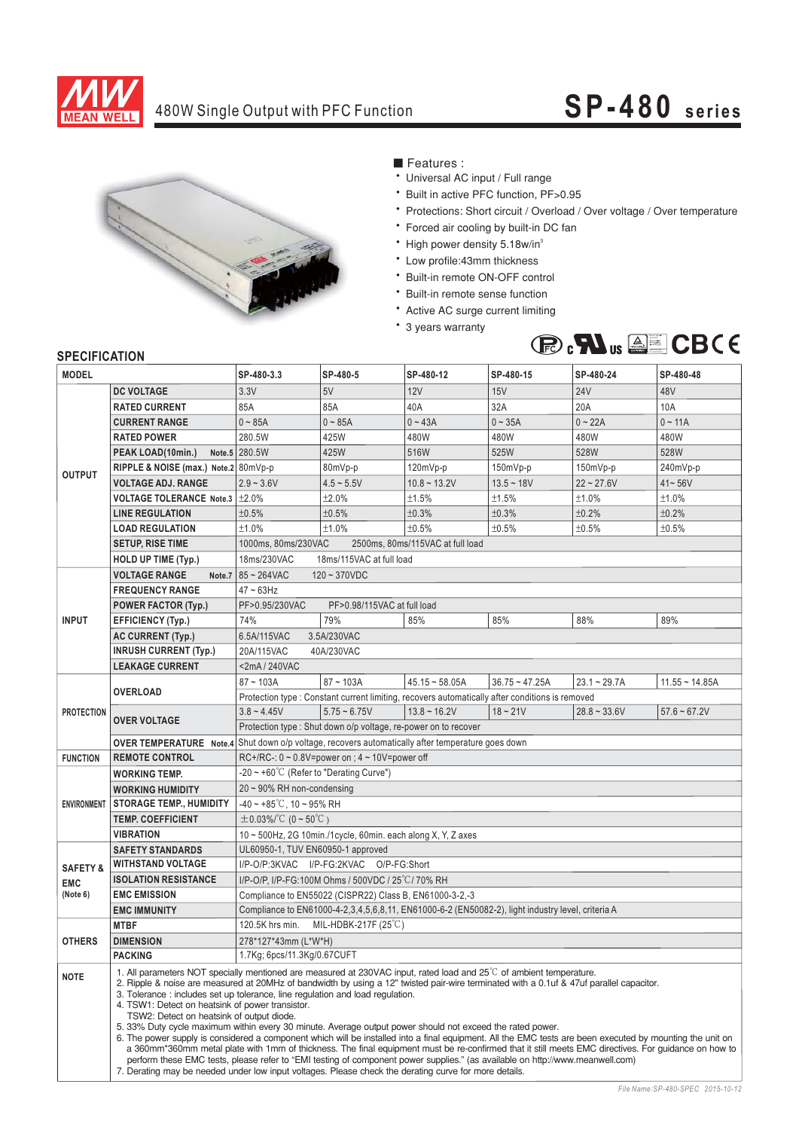

### 480W Single Output with PFC Function

# **SP-480 series**



■ Features :

- Universal AC input / Full range
- Built in active PFC function, PF>0.95
- \* Protections: Short circuit / Overload / Over voltage / Over temperature
- \* Forced air cooling by built-in DC fan
- \* High power density 5.18w/in
- \* Low profile:43mm thickness
- \* Built-in remote ON-OFF control
- \* Built-in remote sense function
- Active AC surge current limiting
- \* 3 years warranty



| <b>MODEL</b>        |                                      | SP-480-3.3                                                                                                                                                                                                                                                                                                                                                                                                                                                                                                                                                                                                                                                                                                                                                                                                                                                                                                                                                                                                                                                                                                                            | SP-480-5                                                        | SP-480-12         | SP-480-15        | SP-480-24      | SP-480-48        |  |
|---------------------|--------------------------------------|---------------------------------------------------------------------------------------------------------------------------------------------------------------------------------------------------------------------------------------------------------------------------------------------------------------------------------------------------------------------------------------------------------------------------------------------------------------------------------------------------------------------------------------------------------------------------------------------------------------------------------------------------------------------------------------------------------------------------------------------------------------------------------------------------------------------------------------------------------------------------------------------------------------------------------------------------------------------------------------------------------------------------------------------------------------------------------------------------------------------------------------|-----------------------------------------------------------------|-------------------|------------------|----------------|------------------|--|
|                     | <b>DC VOLTAGE</b>                    | 3.3V                                                                                                                                                                                                                                                                                                                                                                                                                                                                                                                                                                                                                                                                                                                                                                                                                                                                                                                                                                                                                                                                                                                                  | 5V                                                              | 12V               | 15V              | <b>24V</b>     | 48V              |  |
| <b>OUTPUT</b>       | <b>RATED CURRENT</b>                 | 85A                                                                                                                                                                                                                                                                                                                                                                                                                                                                                                                                                                                                                                                                                                                                                                                                                                                                                                                                                                                                                                                                                                                                   | 85A                                                             | 40A               | 32A              | 20A            | 10A              |  |
|                     | <b>CURRENT RANGE</b>                 | $0 - 85A$                                                                                                                                                                                                                                                                                                                                                                                                                                                                                                                                                                                                                                                                                                                                                                                                                                                                                                                                                                                                                                                                                                                             | $0 - 85A$                                                       | $0 - 43A$         | $0 - 35A$        | $0 - 22A$      | $0 - 11A$        |  |
|                     | <b>RATED POWER</b>                   | 280.5W                                                                                                                                                                                                                                                                                                                                                                                                                                                                                                                                                                                                                                                                                                                                                                                                                                                                                                                                                                                                                                                                                                                                | 425W                                                            | 480W              | 480W             | 480W           | 480W             |  |
|                     | PEAK LOAD(10min.)                    | Note.5 280.5W                                                                                                                                                                                                                                                                                                                                                                                                                                                                                                                                                                                                                                                                                                                                                                                                                                                                                                                                                                                                                                                                                                                         | 425W                                                            | 516W              | 525W             | 528W           | 528W             |  |
|                     | RIPPLE & NOISE (max.) Note.2 80mVp-p |                                                                                                                                                                                                                                                                                                                                                                                                                                                                                                                                                                                                                                                                                                                                                                                                                                                                                                                                                                                                                                                                                                                                       | 80mVp-p                                                         | $120mVp-p$        | 150mVp-p         | $150mVp-p$     | 240mVp-p         |  |
|                     | <b>VOLTAGE ADJ. RANGE</b>            | $2.9 - 3.6V$                                                                                                                                                                                                                                                                                                                                                                                                                                                                                                                                                                                                                                                                                                                                                                                                                                                                                                                                                                                                                                                                                                                          | $4.5 - 5.5V$                                                    | $10.8 - 13.2V$    | $13.5 - 18V$     | $22 - 27.6V$   | $41 - 56V$       |  |
|                     | VOLTAGE TOLERANCE Note.3   ±2.0%     |                                                                                                                                                                                                                                                                                                                                                                                                                                                                                                                                                                                                                                                                                                                                                                                                                                                                                                                                                                                                                                                                                                                                       | ±2.0%                                                           | ±1.5%             | ±1.5%            | ±1.0%          | ±1.0%            |  |
|                     | <b>LINE REGULATION</b>               | ±0.5%                                                                                                                                                                                                                                                                                                                                                                                                                                                                                                                                                                                                                                                                                                                                                                                                                                                                                                                                                                                                                                                                                                                                 | ±0.5%                                                           | ±0.3%             | ±0.3%            | ±0.2%          | ±0.2%            |  |
|                     | <b>LOAD REGULATION</b>               | ±1.0%                                                                                                                                                                                                                                                                                                                                                                                                                                                                                                                                                                                                                                                                                                                                                                                                                                                                                                                                                                                                                                                                                                                                 | ±1.0%                                                           | ±0.5%             | ±0.5%            | ±0.5%          | ±0.5%            |  |
|                     | <b>SETUP, RISE TIME</b>              | 1000ms, 80ms/230VAC<br>2500ms. 80ms/115VAC at full load                                                                                                                                                                                                                                                                                                                                                                                                                                                                                                                                                                                                                                                                                                                                                                                                                                                                                                                                                                                                                                                                               |                                                                 |                   |                  |                |                  |  |
|                     | <b>HOLD UP TIME (Typ.)</b>           | 18ms/115VAC at full load<br>18ms/230VAC                                                                                                                                                                                                                                                                                                                                                                                                                                                                                                                                                                                                                                                                                                                                                                                                                                                                                                                                                                                                                                                                                               |                                                                 |                   |                  |                |                  |  |
|                     | <b>VOLTAGE RANGE</b><br>Note.7       | $85 - 264$ VAC<br>$120 - 370VDC$                                                                                                                                                                                                                                                                                                                                                                                                                                                                                                                                                                                                                                                                                                                                                                                                                                                                                                                                                                                                                                                                                                      |                                                                 |                   |                  |                |                  |  |
| <b>INPUT</b>        | <b>FREQUENCY RANGE</b>               | $47 - 63$ Hz                                                                                                                                                                                                                                                                                                                                                                                                                                                                                                                                                                                                                                                                                                                                                                                                                                                                                                                                                                                                                                                                                                                          |                                                                 |                   |                  |                |                  |  |
|                     | <b>POWER FACTOR (Typ.)</b>           | PF>0.95/230VAC<br>PF>0.98/115VAC at full load                                                                                                                                                                                                                                                                                                                                                                                                                                                                                                                                                                                                                                                                                                                                                                                                                                                                                                                                                                                                                                                                                         |                                                                 |                   |                  |                |                  |  |
|                     | EFFICIENCY (Typ.)                    | 74%                                                                                                                                                                                                                                                                                                                                                                                                                                                                                                                                                                                                                                                                                                                                                                                                                                                                                                                                                                                                                                                                                                                                   | 79%                                                             | 85%               | 85%              | 88%            | 89%              |  |
|                     | <b>AC CURRENT (Typ.)</b>             | 6.5A/115VAC<br>3.5A/230VAC                                                                                                                                                                                                                                                                                                                                                                                                                                                                                                                                                                                                                                                                                                                                                                                                                                                                                                                                                                                                                                                                                                            |                                                                 |                   |                  |                |                  |  |
|                     | <b>INRUSH CURRENT (Typ.)</b>         | 20A/115VAC<br>40A/230VAC                                                                                                                                                                                                                                                                                                                                                                                                                                                                                                                                                                                                                                                                                                                                                                                                                                                                                                                                                                                                                                                                                                              |                                                                 |                   |                  |                |                  |  |
|                     | <b>LEAKAGE CURRENT</b>               | $<$ 2mA / 240VAC                                                                                                                                                                                                                                                                                                                                                                                                                                                                                                                                                                                                                                                                                                                                                                                                                                                                                                                                                                                                                                                                                                                      |                                                                 |                   |                  |                |                  |  |
| <b>PROTECTION</b>   |                                      | $87 - 103A$                                                                                                                                                                                                                                                                                                                                                                                                                                                                                                                                                                                                                                                                                                                                                                                                                                                                                                                                                                                                                                                                                                                           | $87 - 103A$                                                     | $45.15 - 58.05A$  | $36.75 - 47.25A$ | $23.1 - 29.7A$ | $11.55 - 14.85A$ |  |
|                     | <b>OVERLOAD</b>                      | Protection type : Constant current limiting, recovers automatically after conditions is removed                                                                                                                                                                                                                                                                                                                                                                                                                                                                                                                                                                                                                                                                                                                                                                                                                                                                                                                                                                                                                                       |                                                                 |                   |                  |                |                  |  |
|                     | <b>OVER VOLTAGE</b>                  | $3.8 - 4.45V$                                                                                                                                                                                                                                                                                                                                                                                                                                                                                                                                                                                                                                                                                                                                                                                                                                                                                                                                                                                                                                                                                                                         | $5.75 - 6.75V$                                                  | $13.8 \sim 16.2V$ | $18 - 21V$       | $28.8 - 33.6V$ | $57.6 - 67.2V$   |  |
|                     |                                      |                                                                                                                                                                                                                                                                                                                                                                                                                                                                                                                                                                                                                                                                                                                                                                                                                                                                                                                                                                                                                                                                                                                                       | Protection type : Shut down o/p voltage, re-power on to recover |                   |                  |                |                  |  |
|                     |                                      | <b>OVER TEMPERATURE</b> Note.4 Shut down o/p voltage, recovers automatically after temperature goes down                                                                                                                                                                                                                                                                                                                                                                                                                                                                                                                                                                                                                                                                                                                                                                                                                                                                                                                                                                                                                              |                                                                 |                   |                  |                |                  |  |
| <b>FUNCTION</b>     | <b>REMOTE CONTROL</b>                | RC+/RC-: $0 \sim 0.8V$ =power on ; $4 \sim 10V$ =power off                                                                                                                                                                                                                                                                                                                                                                                                                                                                                                                                                                                                                                                                                                                                                                                                                                                                                                                                                                                                                                                                            |                                                                 |                   |                  |                |                  |  |
| <b>ENVIRONMENT</b>  | <b>WORKING TEMP.</b>                 | $-20 \sim +60^{\circ}$ (Refer to "Derating Curve")                                                                                                                                                                                                                                                                                                                                                                                                                                                                                                                                                                                                                                                                                                                                                                                                                                                                                                                                                                                                                                                                                    |                                                                 |                   |                  |                |                  |  |
|                     | <b>WORKING HUMIDITY</b>              | $20 \sim 90\%$ RH non-condensing                                                                                                                                                                                                                                                                                                                                                                                                                                                                                                                                                                                                                                                                                                                                                                                                                                                                                                                                                                                                                                                                                                      |                                                                 |                   |                  |                |                  |  |
|                     | <b>STORAGE TEMP., HUMIDITY</b>       | $-40 \sim +85^{\circ}$ C, 10 ~ 95% RH                                                                                                                                                                                                                                                                                                                                                                                                                                                                                                                                                                                                                                                                                                                                                                                                                                                                                                                                                                                                                                                                                                 |                                                                 |                   |                  |                |                  |  |
|                     | <b>TEMP. COEFFICIENT</b>             | $\pm 0.03\%/^{\circ}C$ (0 ~ 50 $^{\circ}C$ )                                                                                                                                                                                                                                                                                                                                                                                                                                                                                                                                                                                                                                                                                                                                                                                                                                                                                                                                                                                                                                                                                          |                                                                 |                   |                  |                |                  |  |
|                     | VIBRATION                            | 10 ~ 500Hz, 2G 10min./1cycle, 60min. each along X, Y, Z axes                                                                                                                                                                                                                                                                                                                                                                                                                                                                                                                                                                                                                                                                                                                                                                                                                                                                                                                                                                                                                                                                          |                                                                 |                   |                  |                |                  |  |
|                     | <b>SAFETY STANDARDS</b>              | UL60950-1, TUV EN60950-1 approved                                                                                                                                                                                                                                                                                                                                                                                                                                                                                                                                                                                                                                                                                                                                                                                                                                                                                                                                                                                                                                                                                                     |                                                                 |                   |                  |                |                  |  |
| <b>SAFETY &amp;</b> | <b>WITHSTAND VOLTAGE</b>             | I/P-O/P:3KVAC I/P-FG:2KVAC O/P-FG:Short                                                                                                                                                                                                                                                                                                                                                                                                                                                                                                                                                                                                                                                                                                                                                                                                                                                                                                                                                                                                                                                                                               |                                                                 |                   |                  |                |                  |  |
| <b>EMC</b>          | <b>ISOLATION RESISTANCE</b>          | I/P-O/P, I/P-FG:100M Ohms / 500VDC / 25°C/70% RH                                                                                                                                                                                                                                                                                                                                                                                                                                                                                                                                                                                                                                                                                                                                                                                                                                                                                                                                                                                                                                                                                      |                                                                 |                   |                  |                |                  |  |
| (Note 6)            | <b>EMC EMISSION</b>                  | Compliance to EN55022 (CISPR22) Class B, EN61000-3-2,-3                                                                                                                                                                                                                                                                                                                                                                                                                                                                                                                                                                                                                                                                                                                                                                                                                                                                                                                                                                                                                                                                               |                                                                 |                   |                  |                |                  |  |
|                     | <b>EMC IMMUNITY</b>                  | Compliance to EN61000-4-2,3,4,5,6,8,11, EN61000-6-2 (EN50082-2), light industry level, criteria A                                                                                                                                                                                                                                                                                                                                                                                                                                                                                                                                                                                                                                                                                                                                                                                                                                                                                                                                                                                                                                     |                                                                 |                   |                  |                |                  |  |
|                     | <b>MTBF</b>                          | 120.5K hrs min. MIL-HDBK-217F (25°C)                                                                                                                                                                                                                                                                                                                                                                                                                                                                                                                                                                                                                                                                                                                                                                                                                                                                                                                                                                                                                                                                                                  |                                                                 |                   |                  |                |                  |  |
| <b>OTHERS</b>       | <b>DIMENSION</b>                     | 278*127*43mm (L*W*H)                                                                                                                                                                                                                                                                                                                                                                                                                                                                                                                                                                                                                                                                                                                                                                                                                                                                                                                                                                                                                                                                                                                  |                                                                 |                   |                  |                |                  |  |
|                     | <b>PACKING</b>                       | 1.7Kg; 6pcs/11.3Kg/0.67CUFT                                                                                                                                                                                                                                                                                                                                                                                                                                                                                                                                                                                                                                                                                                                                                                                                                                                                                                                                                                                                                                                                                                           |                                                                 |                   |                  |                |                  |  |
| <b>NOTE</b>         |                                      | 1. All parameters NOT specially mentioned are measured at 230VAC input, rated load and $25^{\circ}$ of ambient temperature.<br>2. Ripple & noise are measured at 20MHz of bandwidth by using a 12" twisted pair-wire terminated with a 0.1uf & 47uf parallel capacitor.<br>3. Tolerance: includes set up tolerance, line regulation and load regulation.<br>4. TSW1: Detect on heatsink of power transistor.<br>TSW2: Detect on heatsink of output diode.<br>5. 33% Duty cycle maximum within every 30 minute. Average output power should not exceed the rated power.<br>6. The power supply is considered a component which will be installed into a final equipment. All the EMC tests are been executed by mounting the unit on<br>a 360mm*360mm metal plate with 1mm of thickness. The final equipment must be re-confirmed that it still meets EMC directives. For guidance on how to<br>perform these EMC tests, please refer to "EMI testing of component power supplies." (as available on http://www.meanwell.com)<br>7. Derating may be needed under low input voltages. Please check the derating curve for more details. |                                                                 |                   |                  |                |                  |  |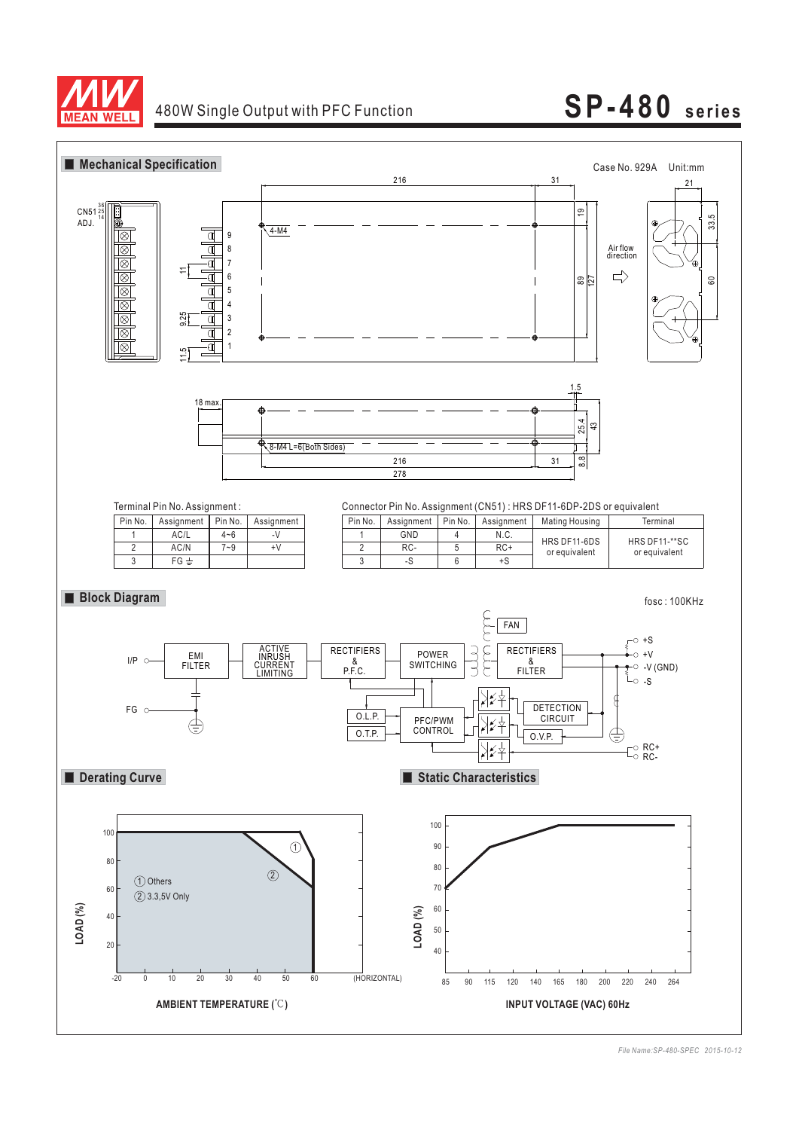

## 480W Single Output with PFC Function **SP-480 series**



*File Name:SP-480-SPEC 2015-10-12*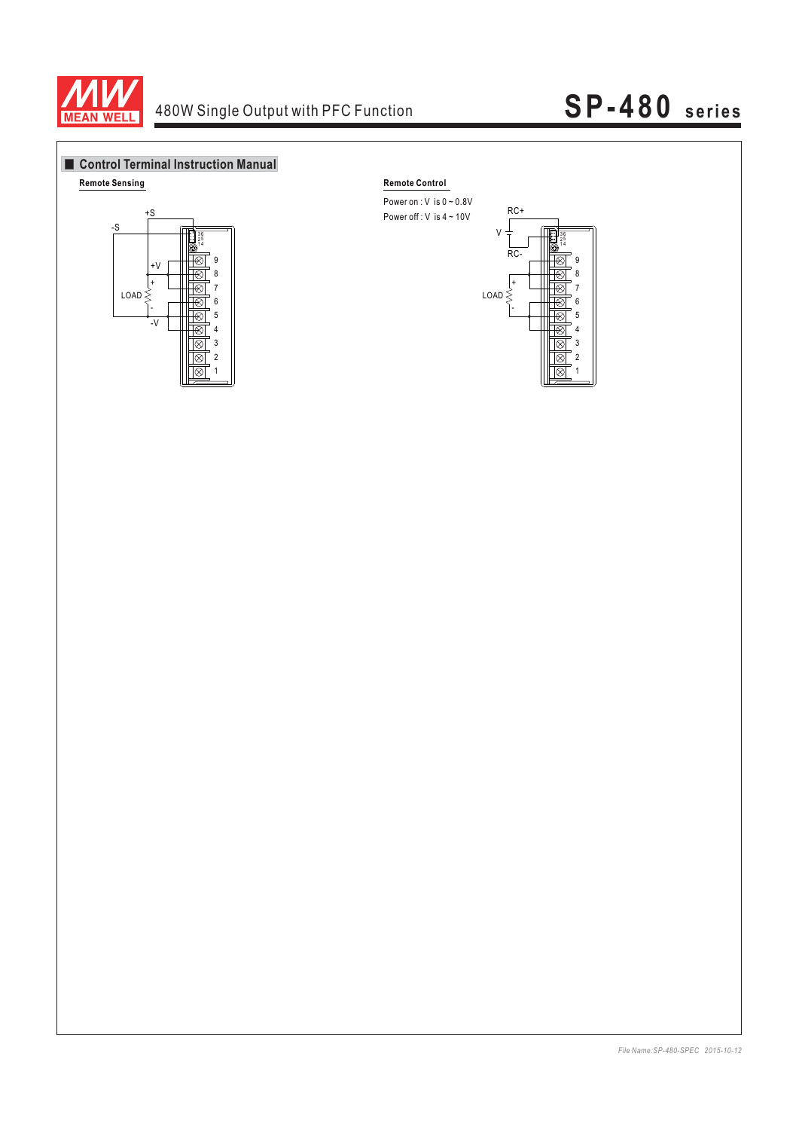

## 480W Single Output with PFC Function **SP-480 series**



Power on :  $V$  is  $0 \sim 0.8V$ 



*File Name:SP-480-SPEC 2015-10-12*